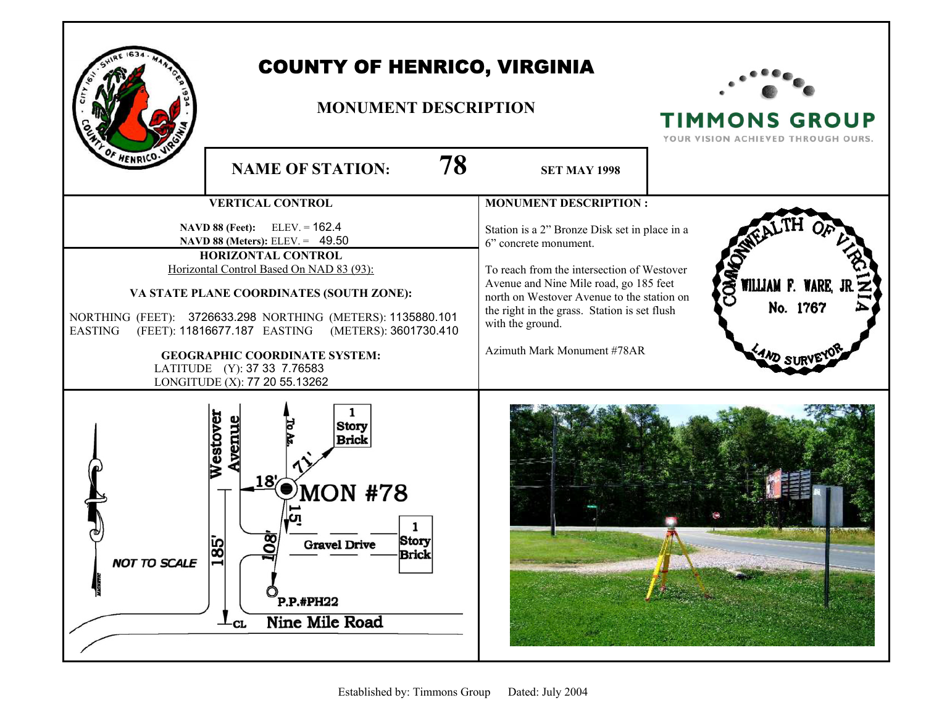

**TIMMONS GROUP** YOUR VISION ACHIEVED THROUGH OURS.

WILLIAM F.

No. 1767